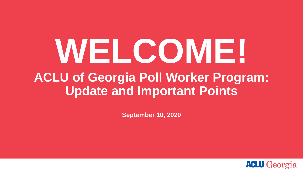# **WELCOME! ACLU of Georgia Poll Worker Program: Update and Important Points**

**September 10, 2020**

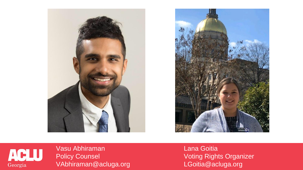





Vasu Abhiraman Policy Counsel VAbhiraman@acluga.org Lana Goitia Voting Rights Organizer LGoitia@acluga.org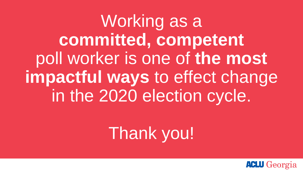Working as a **committed, competent** poll worker is one of **the most impactful ways** to effect change in the 2020 election cycle.

## Thank you!

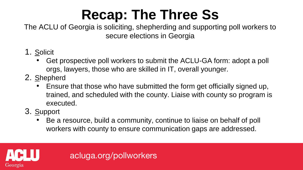#### **Recap: The Three Ss**

The ACLU of Georgia is soliciting, shepherding and supporting poll workers to secure elections in Georgia

- 1. Solicit
	- Get prospective poll workers to submit the ACLU-GA form: adopt a poll orgs, lawyers, those who are skilled in IT, overall younger.
- 2. Shepherd
	- Ensure that those who have submitted the form get officially signed up, trained, and scheduled with the county. Liaise with county so program is executed.
- 3. Support
	- Be a resource, build a community, continue to liaise on behalf of poll workers with county to ensure communication gaps are addressed.



acluga.org/pollworkers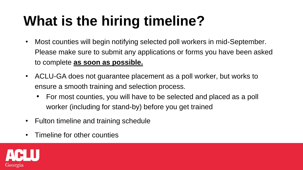### **What is the hiring timeline?**

- Most counties will begin notifying selected poll workers in mid-September. Please make sure to submit any applications or forms you have been asked to complete **as soon as possible.**
- ACLU-GA does not guarantee placement as a poll worker, but works to ensure a smooth training and selection process.
	- For most counties, you will have to be selected and placed as a poll worker (including for stand-by) before you get trained
- Fulton timeline and training schedule
- Timeline for other counties

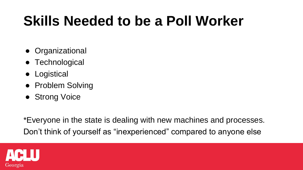#### **Skills Needed to be a Poll Worker**

- Organizational
- Technological
- Logistical
- Problem Solving
- Strong Voice

\*Everyone in the state is dealing with new machines and processes. Don't think of yourself as "inexperienced" compared to anyone else

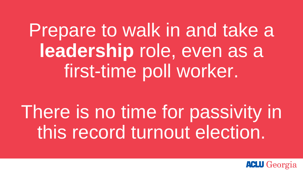Prepare to walk in and take a **leadership** role, even as a first-time poll worker.

There is no time for passivity in this record turnout election.

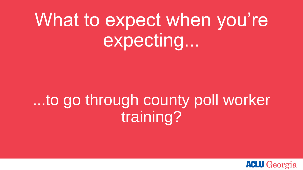## What to expect when you're expecting...

### ...to go through county poll worker training?

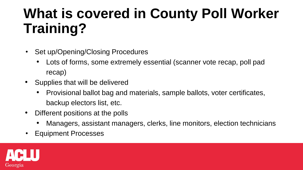#### **What is covered in County Poll Worker Training?**

- Set up/Opening/Closing Procedures
	- Lots of forms, some extremely essential (scanner vote recap, poll pad recap)
- Supplies that will be delivered
	- Provisional ballot bag and materials, sample ballots, voter certificates, backup electors list, etc.
- Different positions at the polls
	- Managers, assistant managers, clerks, line monitors, election technicians
- Equipment Processes

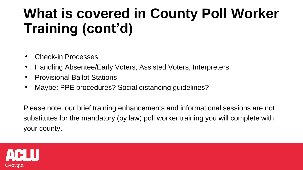#### **What is covered in County Poll Worker Training (cont'd)**

- Check-in Processes
- Handling Absentee/Early Voters, Assisted Voters, Interpreters
- Provisional Ballot Stations
- Maybe: PPE procedures? Social distancing guidelines?

Please note, our brief training enhancements and informational sessions are not substitutes for the mandatory (by law) poll worker training you will complete with your county.

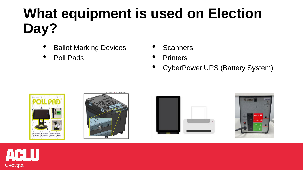#### **What equipment is used on Election Day?**

- **Ballot Marking Devices**
- Poll Pads
- **Scanners**
- **Printers**
- CyberPower UPS (Battery System)









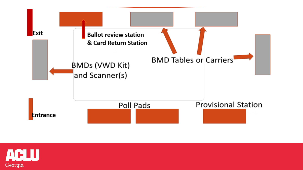

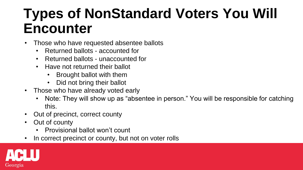#### **Types of NonStandard Voters You Will Encounter**

- Those who have requested absentee ballots
	- Returned ballots accounted for
	- Returned ballots unaccounted for
	- Have not returned their ballot
		- Brought ballot with them
		- Did not bring their ballot
- Those who have already voted early
	- Note: They will show up as "absentee in person." You will be responsible for catching this.
- Out of precinct, correct county
- Out of county
	- Provisional ballot won't count
- In correct precinct or county, but not on voter rolls

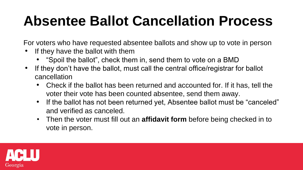#### **Absentee Ballot Cancellation Process**

For voters who have requested absentee ballots and show up to vote in person

- If they have the ballot with them
	- "Spoil the ballot", check them in, send them to vote on a BMD
- If they don't have the ballot, must call the central office/registrar for ballot cancellation
	- Check if the ballot has been returned and accounted for. If it has, tell the voter their vote has been counted absentee, send them away.
	- If the ballot has not been returned yet, Absentee ballot must be "canceled" and verified as canceled.
	- Then the voter must fill out an **affidavit form** before being checked in to vote in person.

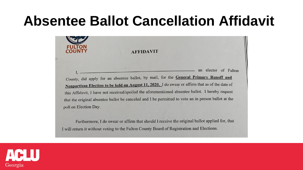#### **Absentee Ballot Cancellation Affidavit**



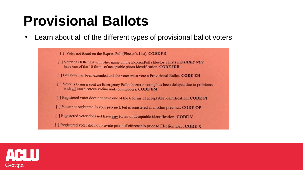#### **Provisional Ballots**

Learn about all of the different types of provisional ballot voters

[ ] Voter not found on the ExpressPoll (Elector's List). CODE PR [ ] Voter has IDR next to his/her name on the ExpressPoll (Elector's List) and **DOES NOT** have one of the 10 forms of acceptable photo identification. CODE IDR [ ] Poll hour has been extended and the voter must vote a Provisional Ballot. CODE EH [ ] Voter is being issued an Emergency Ballot because voting has been delayed due to problems with all touch screen voting units or encoders. CODE EM [ ] Registered voter does not have one of the 6 forms of acceptable identification. CODE PI [ ] Voter not registered in your precinct, but is registered at another precinct. CODE OP [ ] Registered voter does not have **any** forms of acceptable identification. CODE V

[ ] Registered voter did not provide proof of citizenship prior to Election Day. CODE X

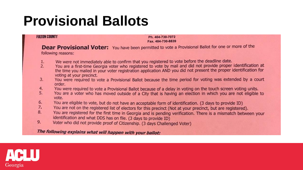#### **Provisional Ballots**

#### **FULTON COUNTY**

Ph. 404-730-7072 Fax. 404-730-8839

Dear Provisional Voter: You have been permitted to vote a Provisional Ballot for one or more of the following reasons:

- We were not immediately able to confirm that you registered to vote before the deadline date. 1.
- You are a first-time Georgia voter who registered to vote by mail and did not provide proper identification at  $2.$ the time you mailed in your voter registration application AND you did not present the proper identification for voting at your precinct.
- You were required to vote a Provisional Ballot because the time period for voting was extended by a court  $3.$ order.
- 4. You were required to vote a Provisional Ballot because of a delay in voting on the touch screen voting units.
- 5. You are a voter who has moved outside of a City that is having an election in which you are not eligible to vote.
- 6. You are eligible to vote, but do not have an acceptable form of identification. (3 days to provide ID)
- $7.$ You are not on the registered list of electors for this precinct (Not at your precinct, but are registered).
- 8. You are registered for the first time in Georgia and is pending verification. There is a mismatch between your identification and what DDS has on file. (3 days to provide ID)
- 9. Voter who did not provide proof of Citizenship. (3 days Challenged Voter)

The following explains what will happen with your ballot:

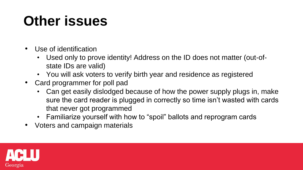#### **Other issues**

- Use of identification
	- Used only to prove identity! Address on the ID does not matter (out-ofstate IDs are valid)
	- You will ask voters to verify birth year and residence as registered
- Card programmer for poll pad
	- Can get easily dislodged because of how the power supply plugs in, make sure the card reader is plugged in correctly so time isn't wasted with cards that never got programmed
	- Familiarize yourself with how to "spoil" ballots and reprogram cards
- Voters and campaign materials

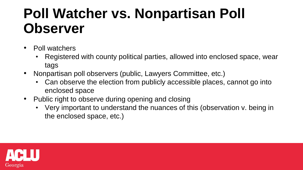#### **Poll Watcher vs. Nonpartisan Poll Observer**

- Poll watchers
	- Registered with county political parties, allowed into enclosed space, wear tags
- Nonpartisan poll observers (public, Lawyers Committee, etc.)
	- Can observe the election from publicly accessible places, cannot go into enclosed space
- Public right to observe during opening and closing
	- Very important to understand the nuances of this (observation v. being in the enclosed space, etc.)

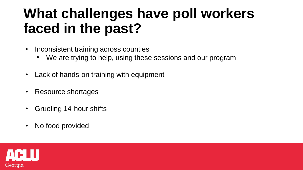#### **What challenges have poll workers faced in the past?**

- Inconsistent training across counties
	- We are trying to help, using these sessions and our program
- Lack of hands-on training with equipment
- Resource shortages
- Grueling 14-hour shifts
- No food provided

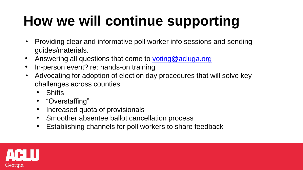### **How we will continue supporting**

- Providing clear and informative poll worker info sessions and sending guides/materials.
- Answering all questions that come to [voting@acluga.org](mailto:voting@acluga.org)
- In-person event? re: hands-on training
- Advocating for adoption of election day procedures that will solve key challenges across counties
	- Shifts
	- "Overstaffing"
	- Increased quota of provisionals
	- Smoother absentee ballot cancellation process
	- Establishing channels for poll workers to share feedback

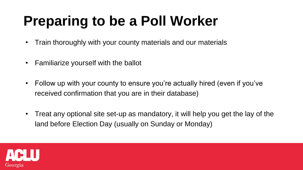#### **Preparing to be a Poll Worker**

- Train thoroughly with your county materials and our materials
- Familiarize yourself with the ballot
- Follow up with your county to ensure you're actually hired (even if you've received confirmation that you are in their database)
- Treat any optional site set-up as mandatory, it will help you get the lay of the land before Election Day (usually on Sunday or Monday)

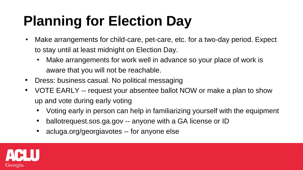#### **Planning for Election Day**

- Make arrangements for child-care, pet-care, etc. for a two-day period. Expect to stay until at least midnight on Election Day.
	- Make arrangements for work well in advance so your place of work is aware that you will not be reachable.
- Dress: business casual. No political messaging
- VOTE EARLY -- request your absentee ballot NOW or make a plan to show up and vote during early voting
	- Voting early in person can help in familiarizing yourself with the equipment
	- ballotrequest.sos.ga.gov -- anyone with a GA license or ID
	- acluga.org/georgiavotes -- for anyone else

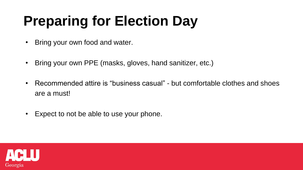## **Preparing for Election Day**

- Bring your own food and water.
- Bring your own PPE (masks, gloves, hand sanitizer, etc.)
- Recommended attire is "business casual" but comfortable clothes and shoes are a must!
- Expect to not be able to use your phone.

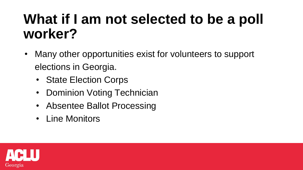#### **What if I am not selected to be a poll worker?**

- Many other opportunities exist for volunteers to support elections in Georgia.
	- State Election Corps
	- Dominion Voting Technician
	- Absentee Ballot Processing
	- Line Monitors

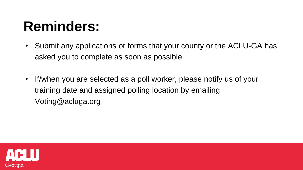#### **Reminders:**

- Submit any applications or forms that your county or the ACLU-GA has asked you to complete as soon as possible.
- If/when you are selected as a poll worker, please notify us of your training date and assigned polling location by emailing Voting@acluga.org

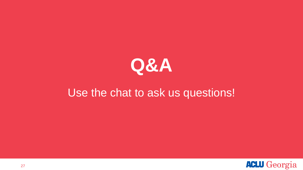

#### Use the chat to ask us questions!

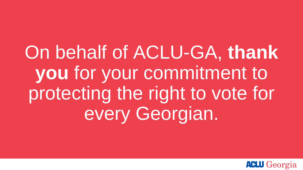On behalf of ACLU-GA, **thank you** for your commitment to protecting the right to vote for every Georgian.

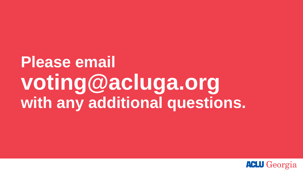## **Please email voting@acluga.org with any additional questions.**